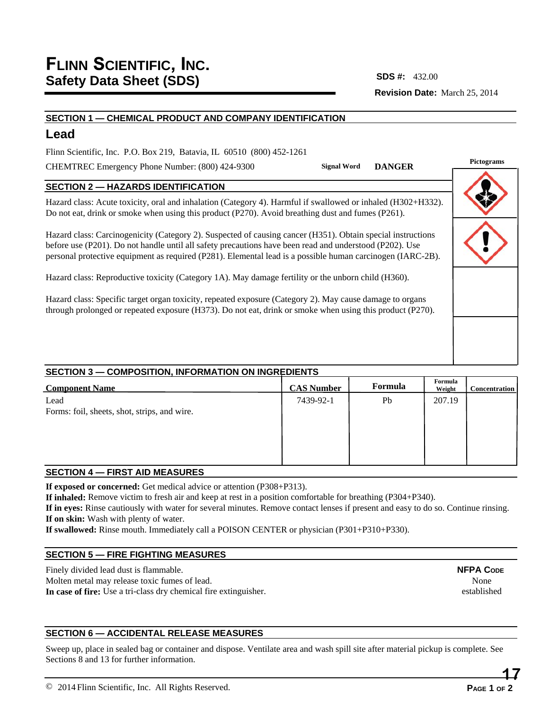# **Revision Date:** March 25, 2014 **SDS #:**

### **SECTION 1 — CHEMICAL PRODUCT AND COMPANY IDENTIFICATION**

# **Lead**

Flinn Scientific, Inc. P.O. Box 219, Batavia, IL 60510 (800) 452-1261

CHEMTREC Emergency Phone Number: (800) 424-9300

**Pictograms Signal Word DANGER**

## **SECTION 2 — HAZARDS IDENTIFICATION**

Hazard class: Acute toxicity, oral and inhalation (Category 4). Harmful if swallowed or inhaled (H302+H332). Do not eat, drink or smoke when using this product (P270). Avoid breathing dust and fumes (P261).

Hazard class: Carcinogenicity (Category 2). Suspected of causing cancer (H351). Obtain special instructions before use (P201). Do not handle until all safety precautions have been read and understood (P202). Use personal protective equipment as required (P281). Elemental lead is a possible human carcinogen (IARC-2B).

Hazard class: Reproductive toxicity (Category 1A). May damage fertility or the unborn child (H360).

Hazard class: Specific target organ toxicity, repeated exposure (Category 2). May cause damage to organs through prolonged or repeated exposure (H373). Do not eat, drink or smoke when using this product (P270).

## **SECTION 3 — COMPOSITION, INFORMATION ON INGREDIENTS**

| <b>Component Name</b>                        | <b>CAS Number</b> | Formula | Formula<br>Weight | <b>Concentration</b> |
|----------------------------------------------|-------------------|---------|-------------------|----------------------|
| Lead                                         | 7439-92-1         | Pb      | 207.19            |                      |
| Forms: foil, sheets, shot, strips, and wire. |                   |         |                   |                      |
|                                              |                   |         |                   |                      |
|                                              |                   |         |                   |                      |
|                                              |                   |         |                   |                      |
|                                              |                   |         |                   |                      |

## **SECTION 4 — FIRST AID MEASURES**

**If exposed or concerned:** Get medical advice or attention (P308+P313).

**If inhaled:** Remove victim to fresh air and keep at rest in a position comfortable for breathing (P304+P340).

**If in eyes:** Rinse cautiously with water for several minutes. Remove contact lenses if present and easy to do so. Continue rinsing. **If on skin:** Wash with plenty of water.

**If swallowed:** Rinse mouth. Immediately call a POISON CENTER or physician (P301+P310+P330).

## **SECTION 5 — FIRE FIGHTING MEASURES**

Finely divided lead dust is flammable. Molten metal may release toxic fumes of lead. **In case of fire:** Use a tri-class dry chemical fire extinguisher.

## **SECTION 6 — ACCIDENTAL RELEASE MEASURES**

Sweep up, place in sealed bag or container and dispose. Ventilate area and wash spill site after material pickup is complete. See Sections 8 and 13 for further information.

None established

**NFPA CODE**